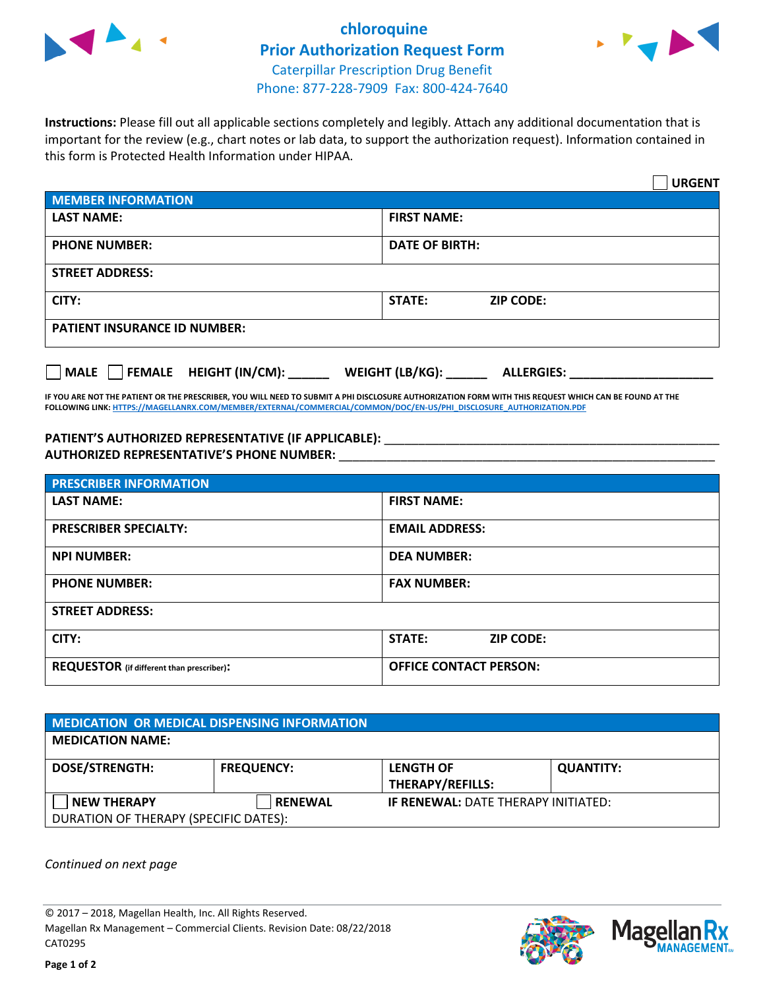

## **chloroquine Prior Authorization Request Form** Caterpillar Prescription Drug Benefit Phone: 877-228-7909 Fax: 800-424-7640



**Instructions:** Please fill out all applicable sections completely and legibly. Attach any additional documentation that is important for the review (e.g., chart notes or lab data, to support the authorization request). Information contained in this form is Protected Health Information under HIPAA.

|                                                | <b>URGENT</b>                          |  |  |  |
|------------------------------------------------|----------------------------------------|--|--|--|
| <b>MEMBER INFORMATION</b>                      |                                        |  |  |  |
| <b>LAST NAME:</b>                              | <b>FIRST NAME:</b>                     |  |  |  |
| <b>PHONE NUMBER:</b>                           | <b>DATE OF BIRTH:</b>                  |  |  |  |
| <b>STREET ADDRESS:</b>                         |                                        |  |  |  |
| CITY:                                          | <b>ZIP CODE:</b><br>STATE:             |  |  |  |
| <b>PATIENT INSURANCE ID NUMBER:</b>            |                                        |  |  |  |
| $\Box$ FEMALE HEIGHT (IN/CM): _<br><b>MALE</b> | WEIGHT (LB/KG): _<br><b>ALLERGIES:</b> |  |  |  |

**IF YOU ARE NOT THE PATIENT OR THE PRESCRIBER, YOU WILL NEED TO SUBMIT A PHI DISCLOSURE AUTHORIZATION FORM WITH THIS REQUEST WHICH CAN BE FOUND AT THE FOLLOWING LINK[: HTTPS://MAGELLANRX.COM/MEMBER/EXTERNAL/COMMERCIAL/COMMON/DOC/EN-US/PHI\\_DISCLOSURE\\_AUTHORIZATION.PDF](https://magellanrx.com/member/external/commercial/common/doc/en-us/PHI_Disclosure_Authorization.pdf)**

PATIENT'S AUTHORIZED REPRESENTATIVE (IF APPLICABLE): \_\_\_\_\_\_\_\_\_\_\_\_\_\_\_\_\_\_\_\_\_\_\_\_\_\_\_ **AUTHORIZED REPRESENTATIVE'S PHONE NUMBER:** \_\_\_\_\_\_\_\_\_\_\_\_\_\_\_\_\_\_\_\_\_\_\_\_\_\_\_\_\_\_\_\_\_\_\_\_\_\_\_\_\_\_\_\_\_\_\_\_\_\_\_\_\_\_\_

| <b>PRESCRIBER INFORMATION</b>             |                               |  |  |  |
|-------------------------------------------|-------------------------------|--|--|--|
| <b>LAST NAME:</b>                         | <b>FIRST NAME:</b>            |  |  |  |
| <b>PRESCRIBER SPECIALTY:</b>              | <b>EMAIL ADDRESS:</b>         |  |  |  |
| <b>NPI NUMBER:</b>                        | <b>DEA NUMBER:</b>            |  |  |  |
| <b>PHONE NUMBER:</b>                      | <b>FAX NUMBER:</b>            |  |  |  |
| <b>STREET ADDRESS:</b>                    |                               |  |  |  |
| CITY:                                     | STATE:<br><b>ZIP CODE:</b>    |  |  |  |
| REQUESTOR (if different than prescriber): | <b>OFFICE CONTACT PERSON:</b> |  |  |  |

| <b>MEDICATION OR MEDICAL DISPENSING INFORMATION</b> |                   |                                            |                  |  |  |
|-----------------------------------------------------|-------------------|--------------------------------------------|------------------|--|--|
| <b>MEDICATION NAME:</b>                             |                   |                                            |                  |  |  |
| <b>DOSE/STRENGTH:</b>                               | <b>FREQUENCY:</b> | <b>LENGTH OF</b>                           | <b>QUANTITY:</b> |  |  |
|                                                     |                   | THERAPY/REFILLS:                           |                  |  |  |
| <b>NEW THERAPY</b>                                  | <b>RENEWAL</b>    | <b>IF RENEWAL: DATE THERAPY INITIATED:</b> |                  |  |  |
| DURATION OF THERAPY (SPECIFIC DATES):               |                   |                                            |                  |  |  |

*Continued on next page*

© 2017 – 2018, Magellan Health, Inc. All Rights Reserved. Magellan Rx Management – Commercial Clients. Revision Date: 08/22/2018 CAT0295